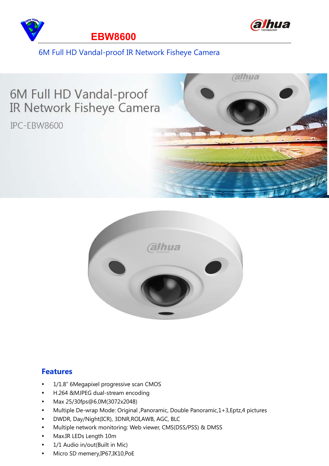



#### 6M Full HD Vandal-proof IR Network Fisheye Camera





#### **Features**

- 1/1.8" 6Megapixel progressive scan CMOS
- H.264 &MJPEG dual-stream encoding
- Max 25/30fps@6.0M(3072x2048)
- Multiple De-wrap Mode: Original ,Panoramic, Double Panoramic,1+3,Eptz,4 pictures
- DWDR, Day/Night(ICR), 3DNR,ROI,AWB, AGC, BLC
- Multiple network monitoring: Web viewer, CMS(DSS/PSS) & DMSS
- Max.IR LEDs Length 10m
- 1/1 Audio in/out(Built in Mic)
- Micro SD memery,IP67,IK10,PoE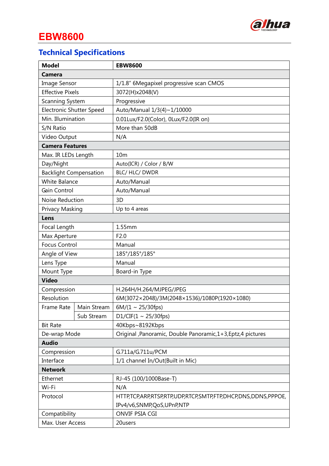

# **EBW8600**

# **Technical Specifications**

| <b>Model</b>                    |             | <b>EBW8600</b>                                                |  |  |
|---------------------------------|-------------|---------------------------------------------------------------|--|--|
| Camera                          |             |                                                               |  |  |
| <b>Image Sensor</b>             |             | 1/1.8" 6Megapixel progressive scan CMOS                       |  |  |
| <b>Effective Pixels</b>         |             | 3072(H)x2048(V)                                               |  |  |
| Scanning System                 |             | Progressive                                                   |  |  |
| <b>Electronic Shutter Speed</b> |             | Auto/Manual 1/3(4)~1/10000                                    |  |  |
| Min. Illumination               |             | 0.01Lux/F2.0(Color), 0Lux/F2.0(IR on)                         |  |  |
| S/N Ratio                       |             | More than 50dB                                                |  |  |
| Video Output                    |             | N/A                                                           |  |  |
| <b>Camera Features</b>          |             |                                                               |  |  |
| Max. IR LEDs Length             |             | 10 <sub>m</sub>                                               |  |  |
| Day/Night                       |             | Auto(ICR) / Color / B/W                                       |  |  |
| <b>Backlight Compensation</b>   |             | BLC/ HLC/ DWDR                                                |  |  |
| <b>White Balance</b>            |             | Auto/Manual                                                   |  |  |
| Gain Control                    |             | Auto/Manual                                                   |  |  |
| Noise Reduction                 |             | 3D                                                            |  |  |
| Privacy Masking                 |             | Up to 4 areas                                                 |  |  |
| Lens                            |             |                                                               |  |  |
| Focal Length                    |             | 1.55mm                                                        |  |  |
| Max Aperture                    |             | F2.0                                                          |  |  |
| <b>Focus Control</b>            |             | Manual                                                        |  |  |
| Angle of View                   |             | 185°/185°/185°                                                |  |  |
| Lens Type                       |             | Manual                                                        |  |  |
| Mount Type                      |             | Board-in Type                                                 |  |  |
| <b>Video</b>                    |             |                                                               |  |  |
| Compression                     |             | H.264H/H.264/MJPEG/JPEG                                       |  |  |
| Resolution                      |             | 6M(3072×2048)/3M(2048×1536)/1080P(1920×1080)                  |  |  |
| Frame Rate                      | Main Stream | $6M/(1 \sim 25/30$ fps)                                       |  |  |
|                                 | Sub Stream  | D1/CIF(1 ~ 25/30fps)                                          |  |  |
| <b>Bit Rate</b>                 |             | 40Kbps~8192Kbps                                               |  |  |
| De-wrap Mode                    |             | Original , Panoramic, Double Panoramic, 1+3, Eptz, 4 pictures |  |  |
| <b>Audio</b>                    |             |                                                               |  |  |
| Compression                     |             | G.711a/G.711u/PCM                                             |  |  |
| Interface                       |             | 1/1 channel In/Out(Built in Mic)                              |  |  |
| <b>Network</b>                  |             |                                                               |  |  |
| Ethernet                        |             | RJ-45 (100/1000Base-T)                                        |  |  |
| Wi-Fi                           |             | N/A                                                           |  |  |
| Protocol                        |             | HTTP,TCP,ARP,RTSP,RTP,UDP,RTCP,SMTP,FTP,DHCP,DNS,DDNS,PPPOE,  |  |  |
|                                 |             | IPv4/v6,SNMP,QoS,UPnP,NTP                                     |  |  |
| Compatibility                   |             | ONVIF PSIA CGI                                                |  |  |
| Max. User Access                |             | 20users                                                       |  |  |